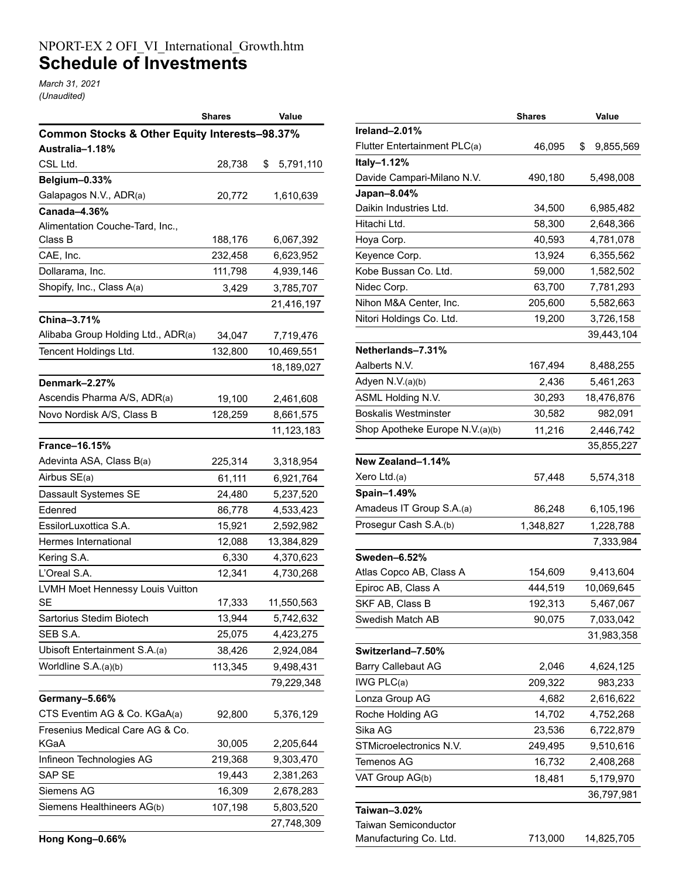## NPORT-EX 2 OFI\_VI\_International\_Growth.htm **Schedule of Investments**

*March 31, 2021 (Unaudited)*

|                                               | Shares  | Value           |
|-----------------------------------------------|---------|-----------------|
| Common Stocks & Other Equity Interests-98.37% |         |                 |
| Australia–1.18%                               |         |                 |
| CSL Ltd.                                      | 28,738  | \$<br>5,791,110 |
| Belgium-0.33%                                 |         |                 |
| Galapagos N.V., ADR(a)                        | 20,772  | 1,610,639       |
| Canada-4.36%                                  |         |                 |
| Alimentation Couche-Tard, Inc.,               |         |                 |
| Class B                                       | 188,176 | 6,067,392       |
| CAE, Inc.                                     | 232,458 | 6,623,952       |
| Dollarama, Inc.                               | 111,798 | 4,939,146       |
| Shopify, Inc., Class A(a)                     | 3,429   | 3,785,707       |
|                                               |         | 21,416,197      |
| China-3.71%                                   |         |                 |
| Alibaba Group Holding Ltd., ADR(a)            | 34,047  | 7,719,476       |
| Tencent Holdings Ltd.                         | 132,800 | 10,469,551      |
|                                               |         | 18,189,027      |
| Denmark-2.27%                                 |         |                 |
| Ascendis Pharma A/S, ADR(a)                   | 19,100  | 2,461,608       |
| Novo Nordisk A/S, Class B                     | 128,259 | 8,661,575       |
|                                               |         | 11, 123, 183    |
| <b>France-16.15%</b>                          |         |                 |
| Adevinta ASA, Class B(a)                      | 225,314 | 3,318,954       |
| Airbus SE(a)                                  | 61,111  | 6,921,764       |
| Dassault Systemes SE                          | 24,480  | 5,237,520       |
| Edenred                                       | 86,778  | 4,533,423       |
| EssilorLuxottica S.A.                         | 15,921  | 2,592,982       |
| Hermes International                          | 12,088  | 13,384,829      |
| Kering S.A.                                   | 6,330   | 4,370,623       |
| L'Oreal S.A.                                  | 12,341  | 4,730,268       |
| LVMH Moet Hennessy Louis Vuitton              |         |                 |
| <b>SE</b>                                     | 17,333  | 11,550,563      |
| Sartorius Stedim Biotech                      | 13,944  | 5,742,632       |
| SEB S.A.                                      | 25,075  | 4,423,275       |
| Ubisoft Entertainment S.A.(a)                 | 38,426  | 2,924,084       |
| Worldline S.A.(a)(b)                          | 113,345 | 9,498,431       |
|                                               |         | 79,229,348      |
| Germany-5.66%                                 |         |                 |
| CTS Eventim AG & Co. KGaA(a)                  | 92,800  | 5,376,129       |
| Fresenius Medical Care AG & Co.               |         |                 |
| KGaA                                          | 30,005  | 2,205,644       |
| Infineon Technologies AG                      | 219,368 | 9,303,470       |
| SAP SE                                        | 19,443  | 2,381,263       |
| Siemens AG                                    | 16,309  | 2,678,283       |
| Siemens Healthineers AG(b)                    | 107,198 | 5,803,520       |
|                                               |         | 27,748,309      |

|                                 | <b>Shares</b> | Value           |
|---------------------------------|---------------|-----------------|
| Ireland-2.01%                   |               |                 |
| Flutter Entertainment PLC(a)    | 46,095        | \$<br>9,855,569 |
| Italy-1.12%                     |               |                 |
| Davide Campari-Milano N.V.      | 490,180       | 5,498,008       |
| Japan-8.04%                     |               |                 |
| Daikin Industries Ltd.          | 34,500        | 6,985,482       |
| Hitachi Ltd.                    | 58,300        | 2,648,366       |
| Hoya Corp.                      | 40,593        | 4,781,078       |
| Keyence Corp.                   | 13,924        | 6,355,562       |
| Kobe Bussan Co. Ltd.            | 59,000        | 1,582,502       |
| Nidec Corp.                     | 63,700        | 7,781,293       |
| Nihon M&A Center, Inc.          | 205,600       | 5,582,663       |
| Nitori Holdings Co. Ltd.        | 19,200        | 3,726,158       |
|                                 |               | 39,443,104      |
| Netherlands-7.31%               |               |                 |
| Aalberts N.V.                   | 167,494       | 8,488,255       |
| Adyen N.V.(a)(b)                | 2,436         | 5,461,263       |
| ASML Holding N.V.               | 30,293        | 18,476,876      |
| <b>Boskalis Westminster</b>     | 30,582        | 982,091         |
| Shop Apotheke Europe N.V.(a)(b) | 11,216        | 2,446,742       |
|                                 |               | 35,855,227      |
| New Zealand-1.14%               |               |                 |
| Xero Ltd.(a)                    | 57,448        | 5,574,318       |
| Spain-1.49%                     |               |                 |
| Amadeus IT Group S.A.(a)        | 86,248        | 6,105,196       |
| Prosegur Cash S.A.(b)           | 1,348,827     | 1,228,788       |
|                                 |               | 7,333,984       |
| Sweden–6.52%                    |               |                 |
| Atlas Copco AB, Class A         | 154,609       | 9,413,604       |
| Epiroc AB, Class A              | 444,519       | 10,069,645      |
| SKF AB, Class B                 | 192,313       | 5,467,067       |
| Swedish Match AB                | 90,075        | 7,033,042       |
|                                 |               | 31,983,358      |
| Switzerland-7.50%               |               |                 |
| <b>Barry Callebaut AG</b>       | 2,046         | 4,624,125       |
| IWG PLC(a)                      | 209,322       | 983,233         |
| Lonza Group AG                  | 4,682         | 2,616,622       |
| Roche Holding AG                | 14,702        | 4,752,268       |
| Sika AG                         | 23,536        | 6,722,879       |
| STMicroelectronics N.V.         | 249,495       | 9,510,616       |
| Temenos AG                      | 16,732        | 2,408,268       |
| VAT Group AG(b)                 | 18,481        | 5,179,970       |
|                                 |               | 36,797,981      |
| Taiwan-3.02%                    |               |                 |
| Taiwan Semiconductor            |               |                 |
| Manufacturing Co. Ltd.          | 713,000       | 14,825,705      |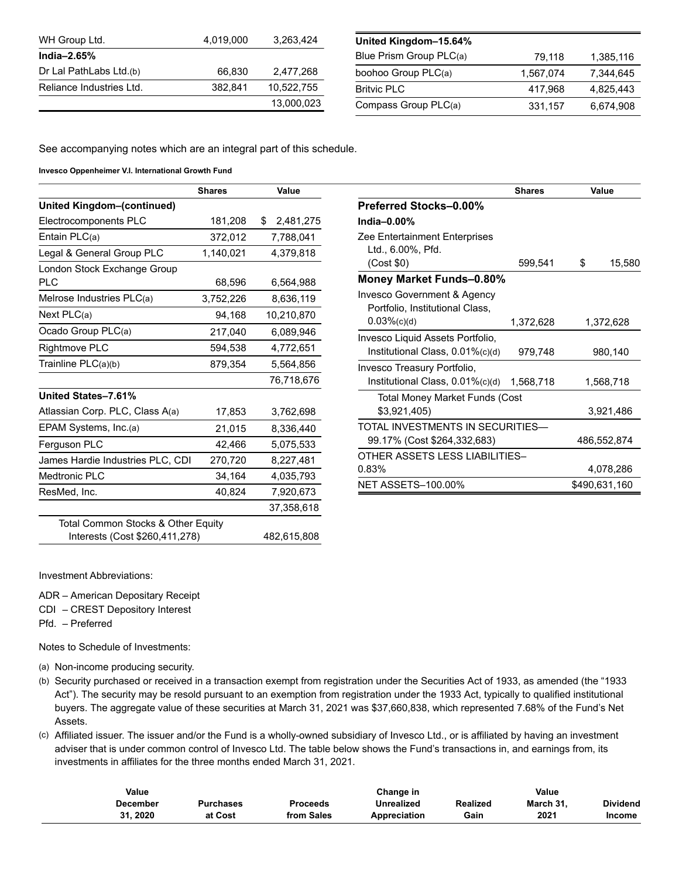| WH Group Ltd.            | 4.019.000 | 3,263,424  |
|--------------------------|-----------|------------|
| India $-2.65%$           |           |            |
| Dr Lal PathLabs Ltd.(b)  | 66.830    | 2,477,268  |
| Reliance Industries Ltd. | 382.841   | 10,522,755 |
|                          |           | 13,000,023 |

| United Kingdom-15.64%   |           |           |
|-------------------------|-----------|-----------|
| Blue Prism Group PLC(a) | 79,118    | 1,385,116 |
| boohoo Group PLC(a)     | 1,567,074 | 7.344.645 |
| <b>Britvic PLC</b>      | 417,968   | 4.825.443 |
| Compass Group PLC(a)    | 331,157   | 6,674,908 |

See accompanying notes which are an integral part of this schedule.

**Invesco Oppenheimer V.I. International Growth Fund**

|                                    | <b>Shares</b> | Value           |
|------------------------------------|---------------|-----------------|
| <b>United Kingdom-(continued)</b>  |               |                 |
| Electrocomponents PLC              | 181,208       | \$<br>2,481,275 |
| Entain PLC(a)                      | 372,012       | 7,788,041       |
| Legal & General Group PLC          | 1,140,021     | 4,379,818       |
| London Stock Exchange Group        |               |                 |
| PLC                                | 68,596        | 6,564,988       |
| Melrose Industries PLC(a)          | 3,752,226     | 8,636,119       |
| Next $PLC(a)$                      | 94,168        | 10,210,870      |
| Ocado Group PLC(a)                 | 217,040       | 6,089,946       |
| Rightmove PLC                      | 594,538       | 4,772,651       |
| Trainline PLC(a)(b)                | 879,354       | 5,564,856       |
|                                    |               | 76,718,676      |
| United States-7.61%                |               |                 |
| Atlassian Corp. PLC, Class A(a)    | 17,853        | 3,762,698       |
| EPAM Systems, Inc.(a)              | 21,015        | 8,336,440       |
| Ferguson PLC                       | 42,466        | 5,075,533       |
| James Hardie Industries PLC, CDI   | 270,720       | 8,227,481       |
| Medtronic PLC                      | 34,164        | 4,035,793       |
| ResMed, Inc.                       | 40,824        | 7,920,673       |
|                                    |               | 37,358,618      |
| Total Common Stocks & Other Equity |               |                 |
| Interests (Cost \$260,411,278)     |               | 482,615,808     |

|                                  | <b>Shares</b> |           | Value         |
|----------------------------------|---------------|-----------|---------------|
| <b>Preferred Stocks-0.00%</b>    |               |           |               |
| India $-0.00\%$                  |               |           |               |
| Zee Entertainment Enterprises    |               |           |               |
| Ltd., 6.00%, Pfd.                |               |           |               |
| (Cost \$0)                       | 599,541       | \$        | 15,580        |
| Money Market Funds-0.80%         |               |           |               |
| Invesco Government & Agency      |               |           |               |
| Portfolio, Institutional Class,  |               |           |               |
| $0.03\%$ (c)(d)                  | 1,372,628     | 1,372,628 |               |
| Invesco Liquid Assets Portfolio, |               |           |               |
| Institutional Class, 0.01%(c)(d) | 979,748       |           | 980,140       |
| Invesco Treasury Portfolio,      |               |           |               |
| Institutional Class, 0.01%(c)(d) | 1,568,718     |           | 1,568,718     |
| Total Money Market Funds (Cost   |               |           |               |
| \$3,921,405)                     |               |           | 3,921,486     |
| TOTAL INVESTMENTS IN SECURITIES- |               |           |               |
| 99.17% (Cost \$264,332,683)      |               |           | 486,552,874   |
| OTHER ASSETS LESS LIABILITIES-   |               |           |               |
| 0.83%                            |               |           | 4,078,286     |
| <b>NET ASSETS-100.00%</b>        |               |           | \$490,631,160 |

Investment Abbreviations:

ADR – American Depositary Receipt

CDI – CREST Depository Interest

Pfd. – Preferred

Notes to Schedule of Investments:

(a) Non-income producing security.

(b) Security purchased or received in a transaction exempt from registration under the Securities Act of 1933, as amended (the "1933 Act"). The security may be resold pursuant to an exemption from registration under the 1933 Act, typically to qualified institutional buyers. The aggregate value of these securities at March 31, 2021 was \$37,660,838, which represented 7.68% of the Fund's Net Assets.

(c) Affiliated issuer. The issuer and/or the Fund is a wholly-owned subsidiary of Invesco Ltd., or is affiliated by having an investment adviser that is under common control of Invesco Ltd. The table below shows the Fund's transactions in, and earnings from, its investments in affiliates for the three months ended March 31, 2021.

| Value    |           |                 | Change in    |          | Value     |                 |
|----------|-----------|-----------------|--------------|----------|-----------|-----------------|
| December | Purchases | <b>Proceeds</b> | Unrealized   | Realized | March 31. | <b>Dividend</b> |
| 31.2020  | at Cost   | from Sales      | Appreciation | Gain     | 2021      | <b>Income</b>   |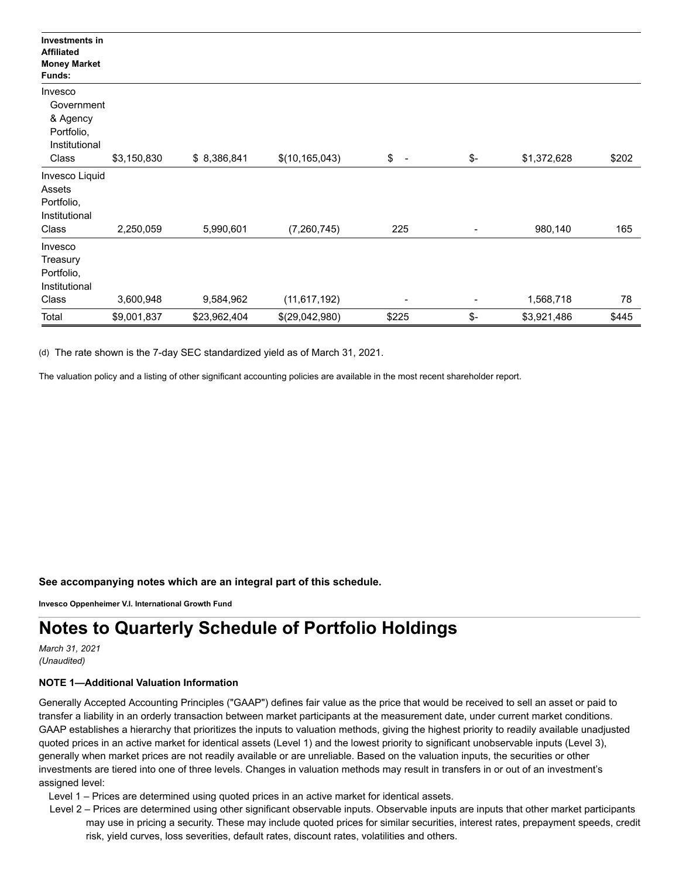| Investments in<br><b>Affiliated</b><br><b>Money Market</b><br>Funds: |             |              |                  |                                |     |             |       |
|----------------------------------------------------------------------|-------------|--------------|------------------|--------------------------------|-----|-------------|-------|
| Invesco                                                              |             |              |                  |                                |     |             |       |
| Government                                                           |             |              |                  |                                |     |             |       |
| & Agency                                                             |             |              |                  |                                |     |             |       |
| Portfolio,<br>Institutional                                          |             |              |                  |                                |     |             |       |
| Class                                                                | \$3,150,830 | \$8,386,841  | \$(10, 165, 043) | \$<br>$\overline{\phantom{a}}$ | \$- | \$1,372,628 | \$202 |
| Invesco Liquid                                                       |             |              |                  |                                |     |             |       |
| Assets                                                               |             |              |                  |                                |     |             |       |
| Portfolio,                                                           |             |              |                  |                                |     |             |       |
| Institutional                                                        |             |              |                  |                                |     |             |       |
| Class                                                                | 2,250,059   | 5,990,601    | (7,260,745)      | 225                            |     | 980,140     | 165   |
| Invesco                                                              |             |              |                  |                                |     |             |       |
| Treasury                                                             |             |              |                  |                                |     |             |       |
| Portfolio,                                                           |             |              |                  |                                |     |             |       |
| Institutional                                                        |             |              |                  |                                |     |             |       |
| Class                                                                | 3,600,948   | 9,584,962    | (11, 617, 192)   | -                              |     | 1,568,718   | 78    |
| Total                                                                | \$9,001,837 | \$23,962,404 | \$(29,042,980)   | \$225                          | \$- | \$3,921,486 | \$445 |

(d) The rate shown is the 7-day SEC standardized yield as of March 31, 2021.

The valuation policy and a listing of other significant accounting policies are available in the most recent shareholder report.

**See accompanying notes which are an integral part of this schedule.**

**Invesco Oppenheimer V.I. International Growth Fund**

## **Notes to Quarterly Schedule of Portfolio Holdings**

*March 31, 2021 (Unaudited)*

## **NOTE 1—Additional Valuation Information**

Generally Accepted Accounting Principles ("GAAP") defines fair value as the price that would be received to sell an asset or paid to transfer a liability in an orderly transaction between market participants at the measurement date, under current market conditions. GAAP establishes a hierarchy that prioritizes the inputs to valuation methods, giving the highest priority to readily available unadjusted quoted prices in an active market for identical assets (Level 1) and the lowest priority to significant unobservable inputs (Level 3), generally when market prices are not readily available or are unreliable. Based on the valuation inputs, the securities or other investments are tiered into one of three levels. Changes in valuation methods may result in transfers in or out of an investment's assigned level:

Level 1 – Prices are determined using quoted prices in an active market for identical assets.

Level 2 – Prices are determined using other significant observable inputs. Observable inputs are inputs that other market participants may use in pricing a security. These may include quoted prices for similar securities, interest rates, prepayment speeds, credit risk, yield curves, loss severities, default rates, discount rates, volatilities and others.